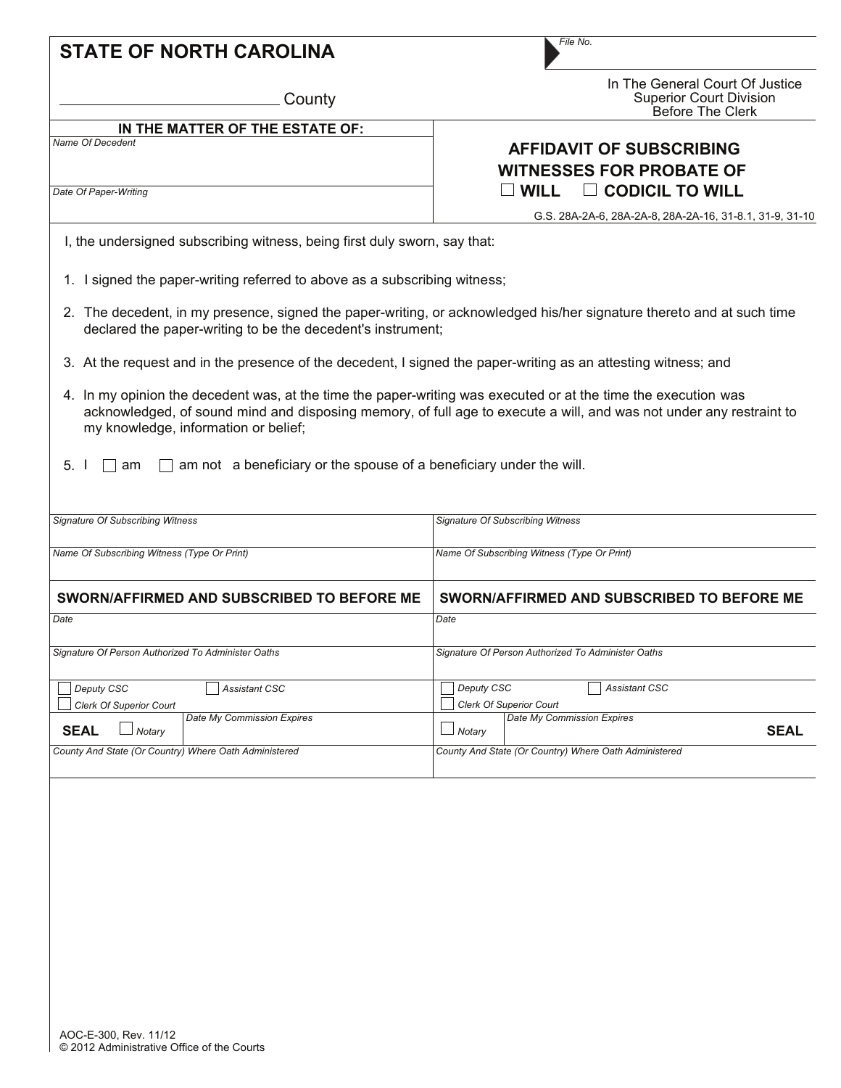| <b>STATE OF NORTH CAROLINA</b>                                                                                                                                                       | File No.                                                                                                            |
|--------------------------------------------------------------------------------------------------------------------------------------------------------------------------------------|---------------------------------------------------------------------------------------------------------------------|
| County                                                                                                                                                                               | In The General Court Of Justice<br><b>Superior Court Division</b><br>Before The Clerk                               |
| IN THE MATTER OF THE ESTATE OF:<br><b>Name Of Decedent</b>                                                                                                                           | <b>AFFIDAVIT OF SUBSCRIBING</b><br><b>WITNESSES FOR PROBATE OF</b>                                                  |
| Date Of Paper-Writing                                                                                                                                                                | $\Box$ CODICIL TO WILL<br><b>WILL</b>                                                                               |
| I, the undersigned subscribing witness, being first duly sworn, say that:                                                                                                            | G.S. 28A-2A-6, 28A-2A-8, 28A-2A-16, 31-8.1, 31-9, 31-10                                                             |
| 1. I signed the paper-writing referred to above as a subscribing witness;                                                                                                            |                                                                                                                     |
| 2. The decedent, in my presence, signed the paper-writing, or acknowledged his/her signature thereto and at such time<br>declared the paper-writing to be the decedent's instrument; |                                                                                                                     |
| 3. At the request and in the presence of the decedent, I signed the paper-writing as an attesting witness; and                                                                       |                                                                                                                     |
| 4. In my opinion the decedent was, at the time the paper-writing was executed or at the time the execution was                                                                       | acknowledged, of sound mind and disposing memory, of full age to execute a will, and was not under any restraint to |
| my knowledge, information or belief;                                                                                                                                                 |                                                                                                                     |
| 5.1<br>am not a beneficiary or the spouse of a beneficiary under the will.<br>am                                                                                                     |                                                                                                                     |
|                                                                                                                                                                                      | <b>Signature Of Subscribing Witness</b>                                                                             |
|                                                                                                                                                                                      | Name Of Subscribing Witness (Type Or Print)                                                                         |
| <b>Signature Of Subscribing Witness</b><br>Name Of Subscribing Witness (Type Or Print)<br>SWORN/AFFIRMED AND SUBSCRIBED TO BEFORE ME                                                 | SWORN/AFFIRMED AND SUBSCRIBED TO BEFORE ME                                                                          |
| Date                                                                                                                                                                                 | Date                                                                                                                |
|                                                                                                                                                                                      | Signature Of Person Authorized To Administer Oaths                                                                  |
| Deputy CSC<br>Assistant CSC                                                                                                                                                          | Deputy CSC<br><b>Assistant CSC</b>                                                                                  |
| Signature Of Person Authorized To Administer Oaths<br><b>Clerk Of Superior Court</b><br>Date My Commission Expires<br><b>SEAL</b><br>Notary                                          | <b>Clerk Of Superior Court</b><br>Date My Commission Expires<br><b>SEAL</b><br>$\Box$ Notary                        |